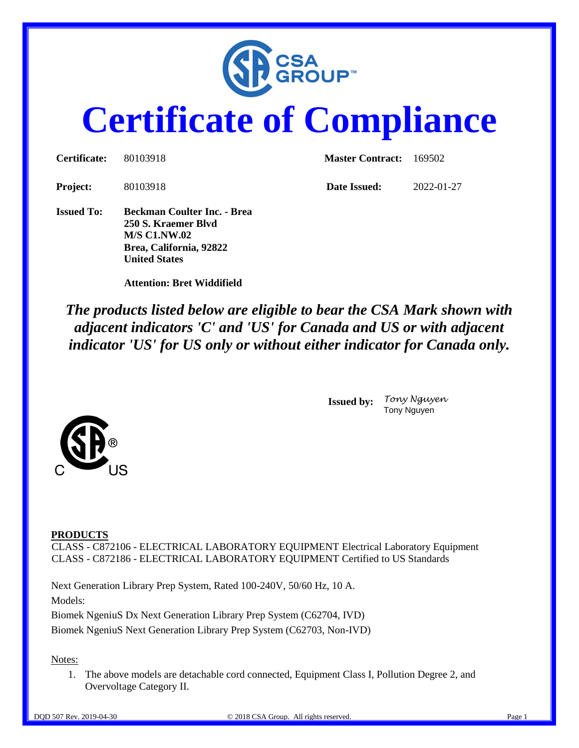

# **Certificate of Compliance**

| Certificate:      | 80103918                                                                                                                            | <b>Master Contract:</b> | - 169502   |
|-------------------|-------------------------------------------------------------------------------------------------------------------------------------|-------------------------|------------|
| Project:          | 80103918                                                                                                                            | Date Issued:            | 2022-01-27 |
| <b>Issued To:</b> | <b>Beckman Coulter Inc. - Brea</b><br>250 S. Kraemer Blyd<br><b>M/S C1.NW.02</b><br>Brea, California, 92822<br><b>United States</b> |                         |            |

 **Attention: Bret Widdifield**

## *The products listed below are eligible to bear the CSA Mark shown with adjacent indicators 'C' and 'US' for Canada and US or with adjacent indicator 'US' for US only or without either indicator for Canada only.*

**Issued by:** *Tony Nguyen* Tony Nguyen



#### **PRODUCTS**

CLASS - C872106 - ELECTRICAL LABORATORY EQUIPMENT Electrical Laboratory Equipment CLASS - C872186 - ELECTRICAL LABORATORY EQUIPMENT Certified to US Standards

Next Generation Library Prep System, Rated 100-240V, 50/60 Hz, 10 A. Models:

Biomek NgeniuS Dx Next Generation Library Prep System (C62704, IVD) Biomek NgeniuS Next Generation Library Prep System (C62703, Non-IVD)

Notes:

1. The above models are detachable cord connected, Equipment Class I, Pollution Degree 2, and Overvoltage Category II.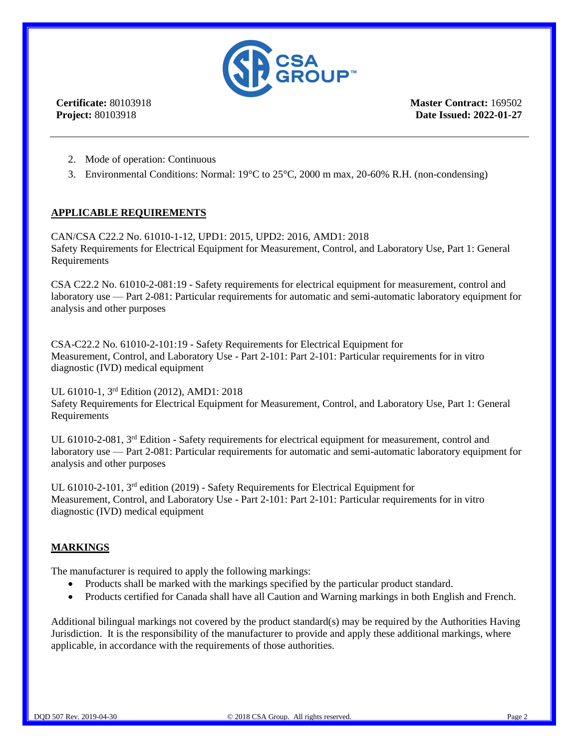

**Certificate:** 80103918 **Project:** 80103918

**Master Contract:** 169502 **Date Issued: 2022-01-27**

- 2. Mode of operation: Continuous
- 3. Environmental Conditions: Normal: 19°C to 25°C, 2000 m max, 20-60% R.H. (non-condensing)

#### **APPLICABLE REQUIREMENTS**

CAN/CSA C22.2 No. 61010-1-12, UPD1: 2015, UPD2: 2016, AMD1: 2018 Safety Requirements for Electrical Equipment for Measurement, Control, and Laboratory Use, Part 1: General Requirements

CSA C22.2 No. 61010-2-081:19 - Safety requirements for electrical equipment for measurement, control and laboratory use — Part 2-081: Particular requirements for automatic and semi-automatic laboratory equipment for analysis and other purposes

CSA-C22.2 No. 61010-2-101:19 - Safety Requirements for Electrical Equipment for Measurement, Control, and Laboratory Use - Part 2-101: Part 2-101: Particular requirements for in vitro diagnostic (IVD) medical equipment

#### UL 61010-1, 3rd Edition (2012), AMD1: 2018

Safety Requirements for Electrical Equipment for Measurement, Control, and Laboratory Use, Part 1: General Requirements

UL 61010-2-081, 3<sup>rd</sup> Edition - Safety requirements for electrical equipment for measurement, control and laboratory use — Part 2-081: Particular requirements for automatic and semi-automatic laboratory equipment for analysis and other purposes

UL 61010-2-101, 3rd edition (2019) - Safety Requirements for Electrical Equipment for Measurement, Control, and Laboratory Use - Part 2-101: Part 2-101: Particular requirements for in vitro diagnostic (IVD) medical equipment

#### **MARKINGS**

The manufacturer is required to apply the following markings:

- Products shall be marked with the markings specified by the particular product standard.
- Products certified for Canada shall have all Caution and Warning markings in both English and French.

Additional bilingual markings not covered by the product standard(s) may be required by the Authorities Having Jurisdiction. It is the responsibility of the manufacturer to provide and apply these additional markings, where applicable, in accordance with the requirements of those authorities.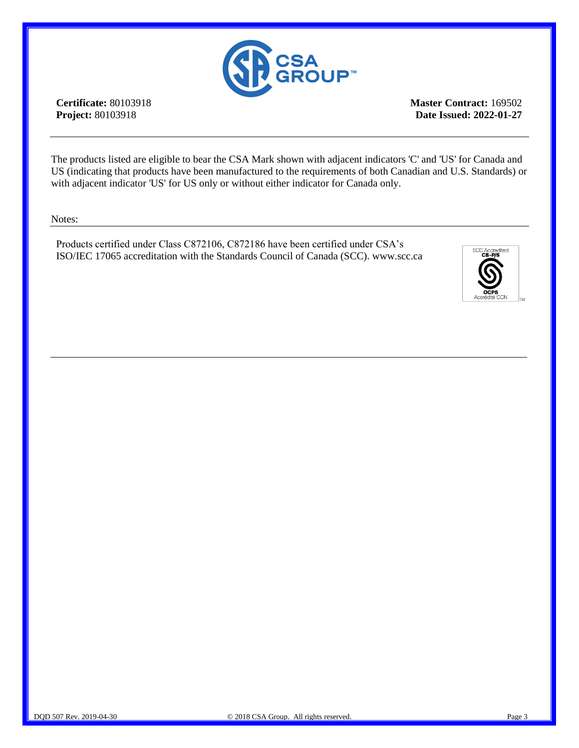

**Certificate:** 80103918 **Project:** 80103918

**Master Contract:** 169502 **Date Issued: 2022-01-27**

The products listed are eligible to bear the CSA Mark shown with adjacent indicators 'C' and 'US' for Canada and US (indicating that products have been manufactured to the requirements of both Canadian and U.S. Standards) or with adjacent indicator 'US' for US only or without either indicator for Canada only.

Notes:

Products certified under Class C872106, C872186 have been certified under CSA's ISO/IEC 17065 accreditation with the Standards Council of Canada (SCC). www.scc.ca